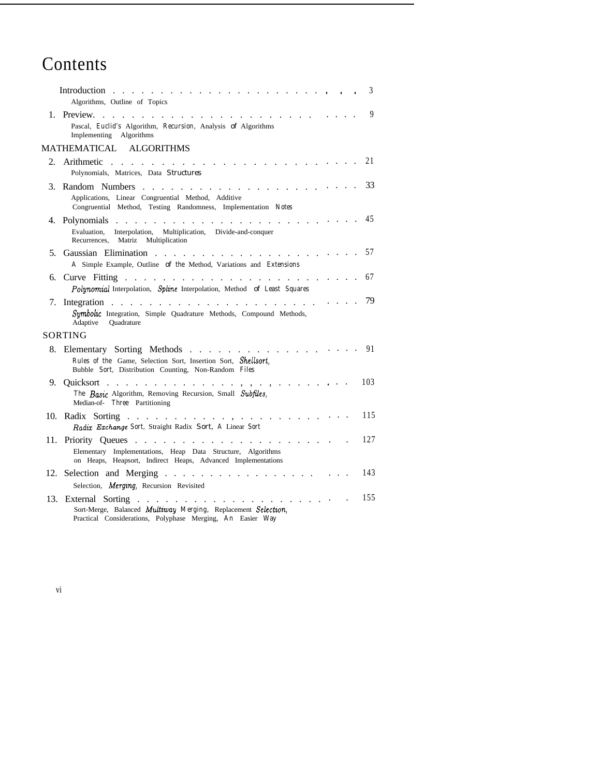## Contents

|         | Introduction                                                                                                                                                                                                                                                                                                                                                                      |  |  |  |  | 3   |
|---------|-----------------------------------------------------------------------------------------------------------------------------------------------------------------------------------------------------------------------------------------------------------------------------------------------------------------------------------------------------------------------------------|--|--|--|--|-----|
|         | Algorithms, Outline of Topics                                                                                                                                                                                                                                                                                                                                                     |  |  |  |  |     |
|         | Pascal, Euclid's Algorithm, Recursion, Analysis of Algorithms<br>Implementing Algorithms                                                                                                                                                                                                                                                                                          |  |  |  |  | 9   |
|         | MATHEMATICAL ALGORITHMS                                                                                                                                                                                                                                                                                                                                                           |  |  |  |  |     |
| $2_{-}$ | Polynomials, Matrices, Data Structures                                                                                                                                                                                                                                                                                                                                            |  |  |  |  | 21  |
|         | Applications, Linear Congruential Method, Additive<br>Congruential Method, Testing Randomness, Implementation Notes                                                                                                                                                                                                                                                               |  |  |  |  | 33  |
|         | Interpolation, Multiplication, Divide-and-conquer<br>Evaluation,<br>Recurrences, Matriz Multiplication                                                                                                                                                                                                                                                                            |  |  |  |  | 45  |
| 5.      | A Simple Example, Outline of the Method, Variations and Extensions                                                                                                                                                                                                                                                                                                                |  |  |  |  | 57  |
| 6.      | Polynomial Interpolation, Spline Interpolation, Method of Least Squares                                                                                                                                                                                                                                                                                                           |  |  |  |  | 67  |
|         | Symbolic Integration, Simple Quadrature Methods, Compound Methods,<br>Adaptive Ouadrature                                                                                                                                                                                                                                                                                         |  |  |  |  | 79  |
|         | SORTING                                                                                                                                                                                                                                                                                                                                                                           |  |  |  |  |     |
|         | 8. Elementary Sorting Methods<br>Rules of the Game, Selection Sort, Insertion Sort, Shellsort,<br>Bubble Sort, Distribution Counting, Non-Random Files                                                                                                                                                                                                                            |  |  |  |  | 91  |
|         | 9. Quicksort , ,<br>The Basic Algorithm, Removing Recursion, Small Subfiles,<br>Median-of- Three Partitioning                                                                                                                                                                                                                                                                     |  |  |  |  | 103 |
|         | Radix Exchange Sort, Straight Radix Sort, A Linear Sort                                                                                                                                                                                                                                                                                                                           |  |  |  |  | 115 |
|         | Elementary Implementations, Heap Data Structure, Algorithms<br>on Heaps, Heapsort, Indirect Heaps, Advanced Implementations                                                                                                                                                                                                                                                       |  |  |  |  | 127 |
|         | 12. Selection and Merging                                                                                                                                                                                                                                                                                                                                                         |  |  |  |  | 143 |
|         | Selection, Merging, Recursion Revisited                                                                                                                                                                                                                                                                                                                                           |  |  |  |  |     |
| 13.     | External Sorting<br>the second contract of the second contract of the second second contract of the second second second second second second second second second second second second second second second second second second second second se<br>Sort-Merge, Balanced Multiway Merging, Replacement Selection,<br>Practical Considerations, Polyphase Merging, An Easier Way |  |  |  |  | 155 |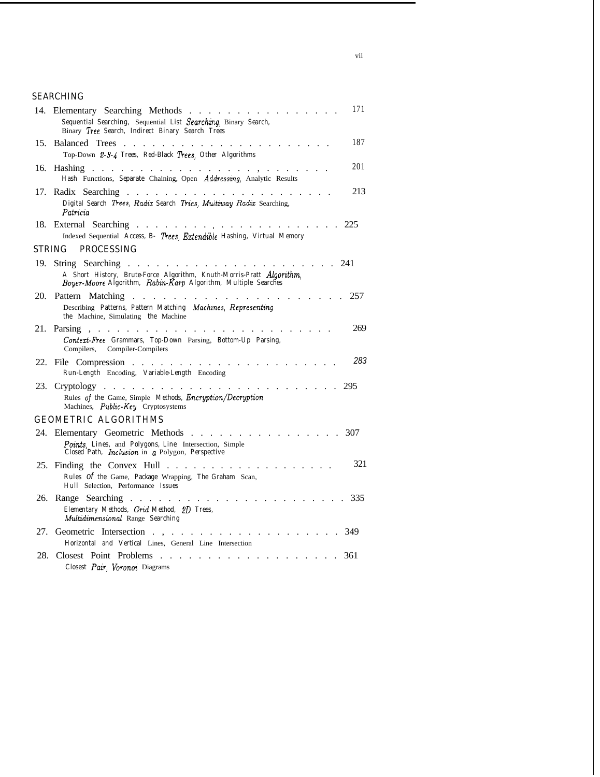## SEARCHING

|     | 14. Elementary Searching Methods<br>Sequential Searching, Sequential List Searching, Binary Search,<br>Binary Tree Search, Indirect Binary Search Trees            | 171 |
|-----|--------------------------------------------------------------------------------------------------------------------------------------------------------------------|-----|
| 15. | Balanced Trees                                                                                                                                                     | 187 |
|     | Top-Down 2-3-4 Trees, Red-Black Trees, Other Algorithms                                                                                                            |     |
| 16. | <b>Hashing</b><br>and the second control of the second<br>Hash Functions, Separate Chaining, Open Addressing, Analytic Results                                     | 201 |
| 17. | Digital Search Trees, Radix Search Tries, Multiway Radix Searching,<br>Patricia                                                                                    | 213 |
|     | 18. External Searching<br>225<br>Indexed Sequential Access, B- Trees, Extendible Hashing, Virtual Memory                                                           |     |
|     | PROCESSING<br>STRING                                                                                                                                               |     |
| 19. | String Searching<br>241<br>A Short History, Brute-Force Algorithm, Knuth-Morris-Pratt Algorithm,<br>Boyer-Moore Algorithm, Rabin-Karp Algorithm, Multiple Searches |     |
| 20. | Pattern Matching<br>$\mathbf{r}$ and $\mathbf{r}$ and $\mathbf{r}$ and $\mathbf{r}$ and $\mathbf{r}$<br><b>Contract Contract Contract</b>                          | 257 |
|     | Describing Patterns, Pattern Matching Machines, Representing<br>the Machine, Simulating the Machine                                                                |     |
| 21. | Parsing,<br>Context-Free Grammars, Top-Down Parsing, Bottom-Up Parsing,<br>Compilers, Compiler-Compilers                                                           | 269 |
| 22. | File Compression<br>Run-Length Encoding, Variable-Length Encoding                                                                                                  | 283 |
| 23. | $Cryptology \dots \dots \dots$<br>295                                                                                                                              |     |
|     | Rules of the Game, Simple Methods, Encryption/Decryption<br>Machines, Public-Key Cryptosystems                                                                     |     |
|     | GEOMETRIC ALGORITHMS                                                                                                                                               |     |
|     | 24. Elementary Geometric Methods                                                                                                                                   | 307 |
|     | Points, Lines, and Polygons, Line Intersection, Simple<br>Closed Path, Inclusion in a Polygon, Perspective                                                         |     |
|     | 25. Finding the Convex Hull $\ldots$                                                                                                                               | 321 |
|     | Rules Of the Game, Package Wrapping, The Graham Scan,<br>Hull Selection, Performance Issues                                                                        |     |
| 26. | Range Searching<br>and the company<br>Elementary Methods, Grid Method, 2D Trees,<br>Multidimensional Range Searching                                               | 335 |
| 27. | 349<br>Geometric Intersection<br>Horizontal and Vertical Lines, General Line Intersection                                                                          |     |
| 28. | Closest Point Problems                                                                                                                                             |     |
|     | 361<br>Closest Pair, Voronoi Diagrams                                                                                                                              |     |